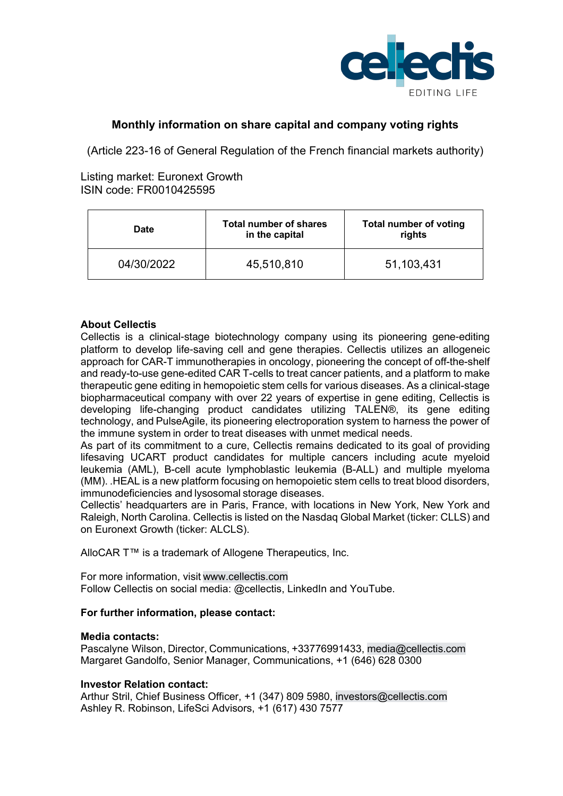

# **Monthly information on share capital and company voting rights**

(Article 223-16 of General Regulation of the French financial markets authority)

## Listing market: Euronext Growth ISIN code: FR0010425595

| <b>Date</b> | Total number of shares<br>in the capital | Total number of voting<br>rights |
|-------------|------------------------------------------|----------------------------------|
| 04/30/2022  | 45,510,810                               | 51,103,431                       |

## **About Cellectis**

Cellectis is a clinical-stage biotechnology company using its pioneering gene-editing platform to develop life-saving cell and gene therapies. Cellectis utilizes an allogeneic approach for CAR-T immunotherapies in oncology, pioneering the concept of off-the-shelf and ready-to-use gene-edited CAR T-cells to treat cancer patients, and a platform to make therapeutic gene editing in hemopoietic stem cells for various diseases. As a clinical-stage biopharmaceutical company with over 22 years of expertise in gene editing, Cellectis is developing life-changing product candidates utilizing TALEN®, its gene editing technology, and PulseAgile, its pioneering electroporation system to harness the power of the immune system in order to treat diseases with unmet medical needs.  

As part of its commitment to a cure, Cellectis remains dedicated to its goal of providing lifesaving UCART product candidates for multiple cancers including acute myeloid leukemia (AML), B-cell acute lymphoblastic leukemia (B-ALL) and multiple myeloma (MM). .HEAL is a new platform focusing on hemopoietic stem cells to treat blood disorders, immunodeficiencies and lysosomal storage diseases.  

Cellectis' headquarters are in Paris, France, with locations in New York, New York and Raleigh, North Carolina. Cellectis is listed on the Nasdaq Global Market (ticker: CLLS) and on Euronext Growth (ticker: ALCLS).  

AlloCAR T™ is a trademark of Allogene Therapeutics, Inc.

For more information, visit www.cellectis.com      Follow Cellectis on social media: @cellectis, LinkedIn and YouTube.

### **For further information, please contact:**

#### **Media contacts:**

Pascalyne Wilson, Director, Communications, +33776991433, media@cellectis.com Margaret Gandolfo, Senior Manager, Communications, +1 (646) 628 0300 

### **Investor Relation contact:**

Arthur Stril, Chief Business Officer, +1 (347) 809 5980, investors@cellectis.com Ashley R. Robinson, LifeSci Advisors, +1 (617) 430 7577